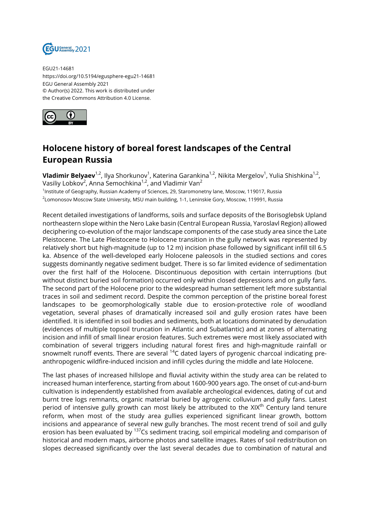

EGU21-14681 https://doi.org/10.5194/egusphere-egu21-14681 EGU General Assembly 2021 © Author(s) 2022. This work is distributed under the Creative Commons Attribution 4.0 License.



## **Holocene history of boreal forest landscapes of the Central European Russia**

**Vladimir Belyaev<sup>1,2</sup>,** Ilya Shorkunov<sup>1</sup>, Katerina Garankina<sup>1,2</sup>, Nikita Mergelov<sup>1</sup>, Yulia Shishkina<sup>1,2</sup>, Vasiliy Lobkov<sup>2</sup>, Anna Semochkina<sup>1,2</sup>, and Vladimir Van<sup>2</sup>

1 Institute of Geography, Russian Academy of Sciences, 29, Staromonetny lane, Moscow, 119017, Russia 2 Lomonosov Moscow State University, MSU main building, 1-1, Leninskie Gory, Moscow, 119991, Russia

Recent detailed investigations of landforms, soils and surface deposits of the Borisoglebsk Upland northeastern slope within the Nero Lake basin (Central European Russia, Yaroslavl Region) allowed deciphering co-evolution of the major landscape components of the case study area since the Late Pleistocene. The Late Pleistocene to Holocene transition in the gully network was represented by relatively short but high-magnitude (up to 12 m) incision phase followed by significant infill till 6.5 ka. Absence of the well-developed early Holocene paleosols in the studied sections and cores suggests dominantly negative sediment budget. There is so far limited evidence of sedimentation over the first half of the Holocene. Discontinuous deposition with certain interruptions (but without distinct buried soil formation) occurred only within closed depressions and on gully fans. The second part of the Holocene prior to the widespread human settlement left more substantial traces in soil and sediment record. Despite the common perception of the pristine boreal forest landscapes to be geomorphologically stable due to erosion-protective role of woodland vegetation, several phases of dramatically increased soil and gully erosion rates have been identified. It is identified in soil bodies and sediments, both at locations dominated by denudation (evidences of multiple topsoil truncation in Atlantic and Subatlantic) and at zones of alternating incision and infill of small linear erosion features. Such extremes were most likely associated with combination of several triggers including natural forest fires and high-magnitude rainfall or snowmelt runoff events. There are several <sup>14</sup>C dated layers of pyrogenic charcoal indicating preanthropogenic wildfire-induced incision and infill cycles during the middle and late Holocene.

The last phases of increased hillslope and fluvial activity within the study area can be related to increased human interference, starting from about 1600-900 years ago. The onset of cut-and-burn cultivation is independently established from available archeological evidences, dating of cut and burnt tree logs remnants, organic material buried by agrogenic colluvium and gully fans. Latest period of intensive gully growth can most likely be attributed to the XIX<sup>th</sup> Century land tenure reform, when most of the study area gullies experienced significant linear growth, bottom incisions and appearance of several new gully branches. The most recent trend of soil and gully erosion has been evaluated by <sup>137</sup>Cs sediment tracing, soil empirical modeling and comparison of historical and modern maps, airborne photos and satellite images. Rates of soil redistribution on slopes decreased significantly over the last several decades due to combination of natural and